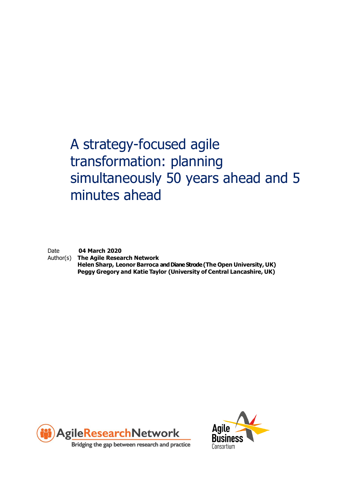# A strategy-focused agile transformation: planning simultaneously 50 years ahead and 5 minutes ahead

Date **04 March 2020**

Author(s) **The Agile Research Network Helen Sharp, Leonor Barroca and Diane Strode (The Open University, UK) Peggy Gregory and Katie Taylor (University of Central Lancashire, UK)**



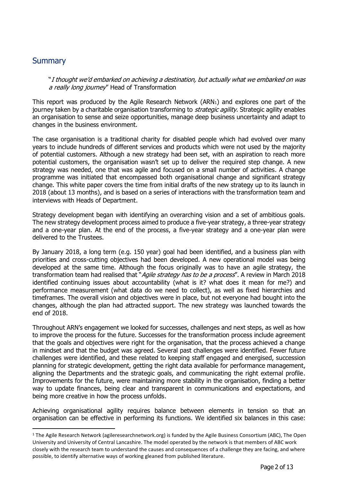## **Summary**

"I thought we'd embarked on achieving a destination, but actually what we embarked on was a really long journey" Head of Transformation

This report was produced by the Agile Research Network (ARN1) and explores one part of the journey taken by a charitable organisation transforming to *strategic agility*. Strategic agility enables an organisation to sense and seize opportunities, manage deep business uncertainty and adapt to changes in the business environment.

The case organisation is a traditional charity for disabled people which had evolved over many years to include hundreds of different services and products which were not used by the majority of potential customers. Although a new strategy had been set, with an aspiration to reach more potential customers, the organisation wasn't set up to deliver the required step change. A new strategy was needed, one that was agile and focused on a small number of activities. A change programme was initiated that encompassed both organisational change and significant strategy change. This white paper covers the time from initial drafts of the new strategy up to its launch in 2018 (about 13 months), and is based on a series of interactions with the transformation team and interviews with Heads of Department.

Strategy development began with identifying an overarching vision and a set of ambitious goals. The new strategy development process aimed to produce a five-year strategy, a three-year strategy and a one-year plan. At the end of the process, a five-year strategy and a one-year plan were delivered to the Trustees.

By January 2018, a long term (e.g. 150 year) goal had been identified, and a business plan with priorities and cross-cutting objectives had been developed. A new operational model was being developed at the same time. Although the focus originally was to have an agile strategy, the transformation team had realised that "Agile strategy has to be a process". A review in March 2018 identified continuing issues about accountability (what is it? what does it mean for me?) and performance measurement (what data do we need to collect), as well as fixed hierarchies and timeframes. The overall vision and objectives were in place, but not everyone had bought into the changes, although the plan had attracted support. The new strategy was launched towards the end of 2018.

Throughout ARN's engagement we looked for successes, challenges and next steps, as well as how to improve the process for the future. Successes for the transformation process include agreement that the goals and objectives were right for the organisation, that the process achieved a change in mindset and that the budget was agreed. Several past challenges were identified. Fewer future challenges were identified, and these related to keeping staff engaged and energised, succession planning for strategic development, getting the right data available for performance management, aligning the Departments and the strategic goals, and communicating the right external profile. Improvements for the future, were maintaining more stability in the organisation, finding a better way to update finances, being clear and transparent in communications and expectations, and being more creative in how the process unfolds.

Achieving organisational agility requires balance between elements in tension so that an organisation can be effective in performing its functions. We identified six balances in this case:

<sup>&</sup>lt;sup>1</sup> The Agile Research Network (agileresearchnetwork.org) is funded by the Agile Business Consortium (ABC), The Open University and University of Central Lancashire. The model operated by the network is that members of ABC work closely with the research team to understand the causes and consequences of a challenge they are facing, and where possible, to identify alternative ways of working gleaned from published literature.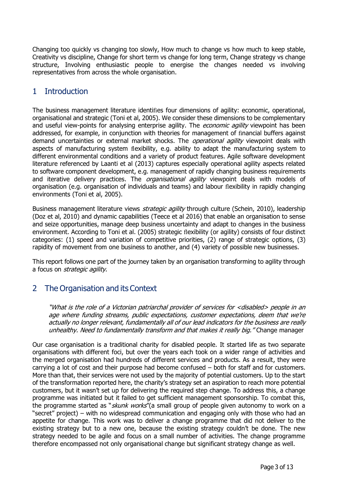Changing too quickly vs changing too slowly, How much to change vs how much to keep stable, Creativity vs discipline, Change for short term vs change for long term, Change strategy vs change structure, Involving enthusiastic people to energise the changes needed vs involving representatives from across the whole organisation.

## 1 Introduction

The business management literature identifies four dimensions of agility: economic, operational, organisational and strategic (Toni et al, 2005). We consider these dimensions to be complementary and useful view-points for analysing enterprise agility. The *economic agility* viewpoint has been addressed, for example, in conjunction with theories for management of financial buffers against demand uncertainties or external market shocks. The *operational agility* viewpoint deals with aspects of manufacturing system flexibility, e.g. ability to adapt the manufacturing system to different environmental conditions and a variety of product features. Agile software development literature referenced by Laanti et al (2013) captures especially operational agility aspects related to software component development, e.g. management of rapidly changing business requirements and iterative delivery practices. The *organisational agility* viewpoint deals with models of organisation (e.g. organisation of individuals and teams) and labour flexibility in rapidly changing environments (Toni et al, 2005).

Business management literature views *strategic agility* through culture (Schein, 2010), leadership (Doz et al, 2010) and dynamic capabilities (Teece et al 2016) that enable an organisation to sense and seize opportunities, manage deep business uncertainty and adapt to changes in the business environment. According to Toni et al. (2005) strategic flexibility (or agility) consists of four distinct categories: (1) speed and variation of competitive priorities, (2) range of strategic options, (3) rapidity of movement from one business to another, and (4) variety of possible new businesses.

This report follows one part of the journey taken by an organisation transforming to agility through a focus on *strategic agility*.

## 2 The Organisation and its Context

"What is the role of a Victorian patriarchal provider of services for <disabled> people in an age where funding streams, public expectations, customer expectations, deem that we're actually no longer relevant, fundamentally all of our lead indicators for the business are really unhealthy. Need to fundamentally transform and that makes it really big." Change manager

Our case organisation is a traditional charity for disabled people. It started life as two separate organisations with different foci, but over the years each took on a wider range of activities and the merged organisation had hundreds of different services and products. As a result, they were carrying a lot of cost and their purpose had become confused – both for staff and for customers. More than that, their services were not used by the majority of potential customers. Up to the start of the transformation reported here, the charity's strategy set an aspiration to reach more potential customers, but it wasn't set up for delivering the required step change. To address this, a change programme was initiated but it failed to get sufficient management sponsorship. To combat this, the programme started as "skunk works" (a small group of people given autonomy to work on a "secret" project) – with no widespread communication and engaging only with those who had an appetite for change. This work was to deliver a change programme that did not deliver to the existing strategy but to a new one, because the existing strategy couldn't be done. The new strategy needed to be agile and focus on a small number of activities. The change programme therefore encompassed not only organisational change but significant strategy change as well.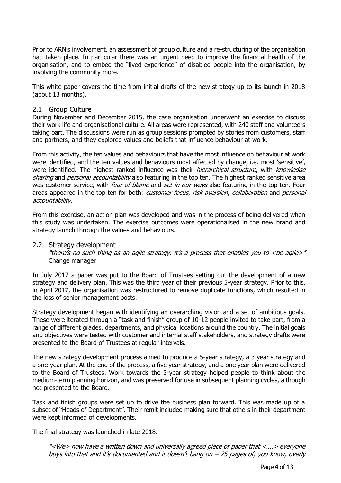Prior to ARN's involvement, an assessment of group culture and a re-structuring of the organisation had taken place. In particular there was an urgent need to improve the financial health of the organisation, and to embed the "lived experience" of disabled people into the organisation, by involving the community more.

This white paper covers the time from initial drafts of the new strategy up to its launch in 2018 (about 13 months).

### 2.1 Group Culture

During November and December 2015, the case organisation underwent an exercise to discuss their work life and organisational culture. All areas were represented, with 240 staff and volunteers taking part. The discussions were run as group sessions prompted by stories from customers, staff and partners, and they explored values and beliefs that influence behaviour at work.

From this activity, the ten values and behaviours that have the most influence on behaviour at work were identified, and the ten values and behaviours most affected by change, i.e. most 'sensitive', were identified. The highest ranked influence was their *hierarchical structure*, with *knowledge* sharing and personal accountability also featuring in the top ten. The highest ranked sensitive area was customer service, with *fear of blame* and *set in our ways* also featuring in the top ten. Four areas appeared in the top ten for both: *customer focus, risk aversion, collaboration* and *personal* accountability.

From this exercise, an action plan was developed and was in the process of being delivered when this study was undertaken. The exercise outcomes were operationalised in the new brand and strategy launch through the values and behaviours.

### 2.2 Strategy development

"there's no such thing as an agile strategy, it's a process that enables you to <be agile>" Change manager

In July 2017 a paper was put to the Board of Trustees setting out the development of a new strategy and delivery plan. This was the third year of their previous 5-year strategy. Prior to this, in April 2017, the organisation was restructured to remove duplicate functions, which resulted in the loss of senior management posts.

Strategy development began with identifying an overarching vision and a set of ambitious goals. These were iterated through a "task and finish" group of 10-12 people invited to take part, from a range of different grades, departments, and physical locations around the country. The initial goals and objectives were tested with customer and internal staff stakeholders, and strategy drafts were presented to the Board of Trustees at regular intervals.

The new strategy development process aimed to produce a 5-year strategy, a 3 year strategy and a one-year plan. At the end of the process, a five year strategy, and a one year plan were delivered to the Board of Trustees. Work towards the 3-year strategy helped people to think about the medium-term planning horizon, and was preserved for use in subsequent planning cycles, although not presented to the Board.

Task and finish groups were set up to drive the business plan forward. This was made up of a subset of "Heads of Department". Their remit included making sure that others in their department were kept informed of developments.

The final strategy was launched in late 2018.

"<We> now have a written down and universally agreed piece of paper that <….> everyone buys into that and it's documented and it doesn't bang on – 25 pages of, you know, overly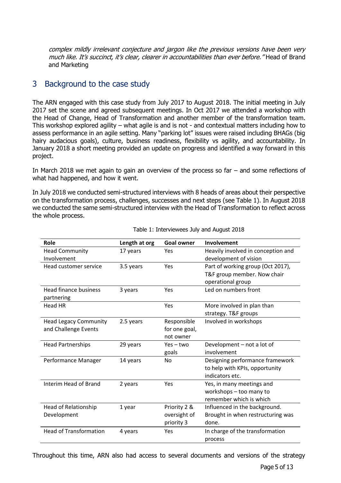complex mildly irrelevant conjecture and jargon like the previous versions have been very much like. It's succinct, it's clear, clearer in accountabilities than ever before." Head of Brand and Marketing

## 3 Background to the case study

The ARN engaged with this case study from July 2017 to August 2018. The initial meeting in July 2017 set the scene and agreed subsequent meetings. In Oct 2017 we attended a workshop with the Head of Change, Head of Transformation and another member of the transformation team. This workshop explored agility – what agile is and is not - and contextual matters including how to assess performance in an agile setting. Many "parking lot" issues were raised including BHAGs (big hairy audacious goals), culture, business readiness, flexibility vs agility, and accountability. In January 2018 a short meeting provided an update on progress and identified a way forward in this project.

In March 2018 we met again to gain an overview of the process so far – and some reflections of what had happened, and how it went.

In July 2018 we conducted semi-structured interviews with 8 heads of areas about their perspective on the transformation process, challenges, successes and next steps (see Table 1). In August 2018 we conducted the same semi-structured interview with the Head of Transformation to reflect across the whole process.

| Role                                                 | Length at org | <b>Goal owner</b>                          | Involvement                                                                           |
|------------------------------------------------------|---------------|--------------------------------------------|---------------------------------------------------------------------------------------|
| <b>Head Community</b><br>Involvement                 | 17 years      | Yes                                        | Heavily involved in conception and<br>development of vision                           |
| Head customer service                                | 3.5 years     | Yes                                        | Part of working group (Oct 2017),<br>T&F group member. Now chair<br>operational group |
| <b>Head finance business</b><br>partnering           | 3 years       | Yes                                        | Led on numbers front                                                                  |
| <b>Head HR</b>                                       |               | Yes                                        | More involved in plan than<br>strategy. T&F groups                                    |
| <b>Head Legacy Community</b><br>and Challenge Events | 2.5 years     | Responsible<br>for one goal,<br>not owner  | Involved in workshops                                                                 |
| <b>Head Partnerships</b>                             | 29 years      | $Yes - two$<br>goals                       | Development - not a lot of<br>involvement                                             |
| Performance Manager                                  | 14 years      | <b>No</b>                                  | Designing performance framework<br>to help with KPIs, opportunity<br>indicators etc.  |
| Interim Head of Brand                                | 2 years       | Yes                                        | Yes, in many meetings and<br>workshops - too many to<br>remember which is which       |
| <b>Head of Relationship</b><br>Development           | 1 year        | Priority 2 &<br>oversight of<br>priority 3 | Influenced in the background.<br>Brought in when restructuring was<br>done.           |
| <b>Head of Transformation</b>                        | 4 years       | Yes                                        | In charge of the transformation<br>process                                            |

Table 1: Interviewees July and August 2018

Throughout this time, ARN also had access to several documents and versions of the strategy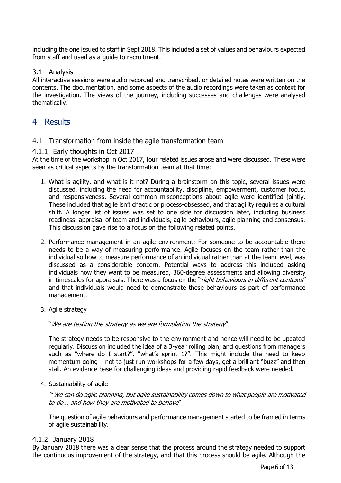including the one issued to staff in Sept 2018. This included a set of values and behaviours expected from staff and used as a guide to recruitment.

### 3.1 Analysis

All interactive sessions were audio recorded and transcribed, or detailed notes were written on the contents. The documentation, and some aspects of the audio recordings were taken as context for the investigation. The views of the journey, including successes and challenges were analysed thematically.

### 4 Results

### 4.1 Transformation from inside the agile transformation team

4.1.1 Early thoughts in Oct 2017

At the time of the workshop in Oct 2017, four related issues arose and were discussed. These were seen as critical aspects by the transformation team at that time:

- 1. What is agility, and what is it not? During a brainstorm on this topic, several issues were discussed, including the need for accountability, discipline, empowerment, customer focus, and responsiveness. Several common misconceptions about agile were identified jointly. These included that agile isn't chaotic or process-obsessed, and that agility requires a cultural shift. A longer list of issues was set to one side for discussion later, including business readiness, appraisal of team and individuals, agile behaviours, agile planning and consensus. This discussion gave rise to a focus on the following related points.
- 2. Performance management in an agile environment: For someone to be accountable there needs to be a way of measuring performance. Agile focuses on the team rather than the individual so how to measure performance of an individual rather than at the team level, was discussed as a considerable concern. Potential ways to address this included asking individuals how they want to be measured, 360-degree assessments and allowing diversity in timescales for appraisals. There was a focus on the "right behaviours in different contexts" and that individuals would need to demonstrate these behaviours as part of performance management.
- 3. Agile strategy

"We are testing the strategy as we are formulating the strategy"

The strategy needs to be responsive to the environment and hence will need to be updated regularly. Discussion included the idea of a 3-year rolling plan, and questions from managers such as "where do I start?", "what's sprint 1?". This might include the need to keep momentum going – not to just run workshops for a few days, get a brilliant "buzz" and then stall. An evidence base for challenging ideas and providing rapid feedback were needed.

4. Sustainability of agile

"We can do agile planning, but agile sustainability comes down to what people are motivated to do… and how they are motivated to behave"

The question of agile behaviours and performance management started to be framed in terms of agile sustainability.

### 4.1.2 January 2018

By January 2018 there was a clear sense that the process around the strategy needed to support the continuous improvement of the strategy, and that this process should be agile. Although the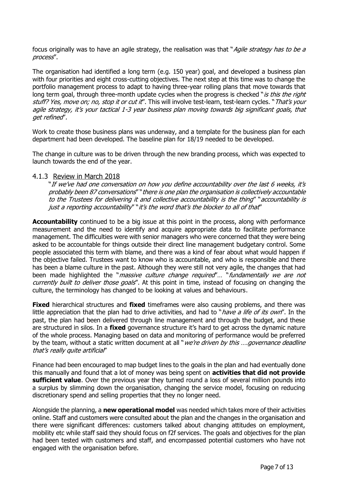focus originally was to have an agile strategy, the realisation was that "Agile strategy has to be a process".

The organisation had identified a long term (e.g. 150 year) goal, and developed a business plan with four priorities and eight cross-cutting objectives. The next step at this time was to change the portfolio management process to adapt to having three-year rolling plans that move towards that long term goal, through three-month update cycles when the progress is checked "is this the right stuff? Yes, move on; no, stop it or cut it". This will involve test-learn, test-learn cycles. "That's your agile strategy, it's your tactical 1-3 year business plan moving towards big significant goals, that get refined".

Work to create those business plans was underway, and a template for the business plan for each department had been developed. The baseline plan for 18/19 needed to be developed.

The change in culture was to be driven through the new branding process, which was expected to launch towards the end of the year.

#### 4.1.3 Review in March 2018

"If we've had one conversation on how you define accountability over the last 6 weeks, it's probably been 87 conversations" "there is one plan the organisation is collectively accountable .<br>to the Trustees for delivering it and collective accountability is the thing" "accountability is just a reporting accountability" "it's the word that's the blocker to all of that"

**Accountability** continued to be a big issue at this point in the process, along with performance measurement and the need to identify and acquire appropriate data to facilitate performance management. The difficulties were with senior managers who were concerned that they were being asked to be accountable for things outside their direct line management budgetary control. Some people associated this term with blame, and there was a kind of fear about what would happen if the objective failed. Trustees want to know who is accountable, and who is responsible and there has been a blame culture in the past. Although they were still not very agile, the changes that had been made highlighted the "*massive culture change required*"... "fundamentally we are not currently built to deliver those goals". At this point in time, instead of focusing on changing the culture, the terminology has changed to be looking at values and behaviours.

**Fixed** hierarchical structures and **fixed** timeframes were also causing problems, and there was little appreciation that the plan had to drive activities, and had to "*have a life of its own*". In the past, the plan had been delivered through line management and through the budget, and these are structured in silos. In a **fixed** governance structure it's hard to get across the dynamic nature of the whole process. Managing based on data and monitoring of performance would be preferred by the team, without a static written document at all "*we're driven by this .... governance deadline* that's really quite artificial"

Finance had been encouraged to map budget lines to the goals in the plan and had eventually done this manually and found that a lot of money was being spent on **activities that did not provide sufficient value**. Over the previous year they turned round a loss of several million pounds into a surplus by slimming down the organisation, changing the service model, focusing on reducing discretionary spend and selling properties that they no longer need.

Alongside the planning, a **new operational model** was needed which takes more of their activities online. Staff and customers were consulted about the plan and the changes in the organisation and there were significant differences: customers talked about changing attitudes on employment, mobility etc while staff said they should focus on f2f services. The goals and objectives for the plan had been tested with customers and staff, and encompassed potential customers who have not engaged with the organisation before.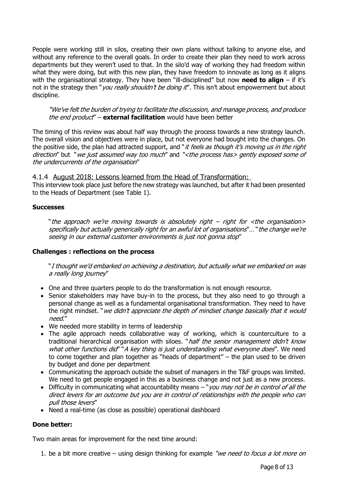People were working still in silos, creating their own plans without talking to anyone else, and without any reference to the overall goals. In order to create their plan they need to work across departments but they weren't used to that. In the silo'd way of working they had freedom within what they were doing, but with this new plan, they have freedom to innovate as long as it aligns with the organisational strategy. They have been "ill-disciplined" but now **need to align** – if it's not in the strategy then "*you really shouldn't be doing it*". This isn't about empowerment but about discipline.

"We've felt the burden of trying to facilitate the discussion, and manage process, and produce the end product" – **external facilitation** would have been better

The timing of this review was about half way through the process towards a new strategy launch. The overall vision and objectives were in place, but not everyone had bought into the changes. On the positive side, the plan had attracted support, and "it feels as though it's moving us in the right direction" but "we just assumed way too much" and "<the process has> gently exposed some of the undercurrents of the organisation"

4.1.4 August 2018: Lessons learned from the Head of Transformation: This interview took place just before the new strategy was launched, but after it had been presented

## to the Heads of Department (see Table 1).

### **Successes**

"the approach we're moving towards is absolutely right – right for  $\lt$ the organisation> specifically but actually generically right for an awful lot of organisations"… "the change we're seeing in our external customer environments is just not gonna stop"

### **Challenges : reflections on the process**

"I thought we'd embarked on achieving a destination, but actually what we embarked on was a really long journey"

- One and three quarters people to do the transformation is not enough resource.
- Senior stakeholders may have buy-in to the process, but they also need to go through a personal change as well as a fundamental organisational transformation. They need to have the right mindset. "*we didn't appreciate the depth of mindset change basically that it would* need."
- We needed more stability in terms of leadership
- The agile approach needs collaborative way of working, which is counterculture to a traditional hierarchical organisation with siloes. "half the senior management didn't know what other functions did" "A key thing is just understanding what everyone does". We need to come together and plan together as "heads of department" – the plan used to be driven by budget and done per department
- Communicating the approach outside the subset of managers in the T&F groups was limited. We need to get people engaged in this as a business change and not just as a new process.
- Difficulty in communicating what accountability means  $-$  "you may not be in control of all the direct levers for an outcome but you are in control of relationships with the people who can pull those levers"
- Need a real-time (as close as possible) operational dashboard

### **Done better:**

Two main areas for improvement for the next time around:

1. be a bit more creative – using design thinking for example "we need to focus a lot more on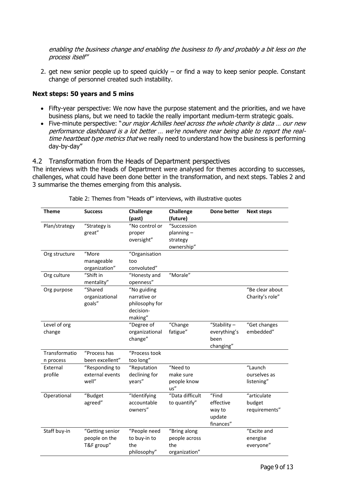enabling the business change and enabling the business to fly and probably a bit less on the process itself"

2. get new senior people up to speed quickly – or find a way to keep senior people. Constant change of personnel created such instability.

### **Next steps: 50 years and 5 mins**

- Fifty-year perspective: We now have the purpose statement and the priorities, and we have business plans, but we need to tackle the really important medium-term strategic goals.
- Five-minute perspective: "our major Achilles heel across the whole charity is data ... our new performance dashboard is a lot better … we're nowhere near being able to report the realtime heartbeat type metrics that we really need to understand how the business is performing day-by-day"

4.2 Transformation from the Heads of Department perspectives

The interviews with the Heads of Department were analysed for themes according to successes, challenges, what could have been done better in the transformation, and next steps. Tables 2 and 3 summarise the themes emerging from this analysis.

| <b>Theme</b>               | <b>Success</b>                                 | Challenge<br>(past)                                                   | Challenge<br>(future)                                 | Done better                                         | <b>Next steps</b>                      |
|----------------------------|------------------------------------------------|-----------------------------------------------------------------------|-------------------------------------------------------|-----------------------------------------------------|----------------------------------------|
| Plan/strategy              | "Strategy is<br>great"                         | "No control or<br>proper<br>oversight"                                | "Succession<br>$planning -$<br>strategy<br>ownership" |                                                     |                                        |
| Org structure              | "More<br>manageable<br>organization"           | "Organisation<br>too<br>convoluted"                                   |                                                       |                                                     |                                        |
| Org culture                | "Shift in<br>mentality"                        | "Honesty and<br>openness"                                             | "Morale"                                              |                                                     |                                        |
| Org purpose                | "Shared<br>organizational<br>goals"            | "No guiding<br>narrative or<br>philosophy for<br>decision-<br>making" |                                                       |                                                     | "Be clear about<br>Charity's role"     |
| Level of org<br>change     |                                                | "Degree of<br>organizational<br>change"                               | "Change<br>fatigue"                                   | "Stability-<br>everything's<br>been<br>changing"    | "Get changes<br>embedded"              |
| Transformatio<br>n process | "Process has<br>been excellent"                | "Process took<br>too long"                                            |                                                       |                                                     |                                        |
| External<br>profile        | "Responding to<br>external events<br>well"     | "Reputation<br>declining for<br>years"                                | "Need to<br>make sure<br>people know<br>us''          |                                                     | "Launch<br>ourselves as<br>listening"  |
| Operational                | "Budget<br>agreed"                             | "Identifying<br>accountable<br>owners"                                | "Data difficult<br>to quantify"                       | "Find<br>effective<br>way to<br>update<br>finances" | "articulate<br>budget<br>requirements" |
| Staff buy-in               | "Getting senior<br>people on the<br>T&F group" | "People need<br>to buy-in to<br>the<br>philosophy"                    | "Bring along<br>people across<br>the<br>organization" |                                                     | "Excite and<br>energise<br>everyone"   |

Table 2: Themes from "Heads of" interviews, with illustrative quotes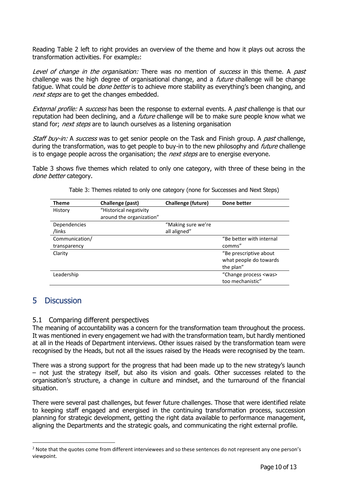Reading Table 2 left to right provides an overview of the theme and how it plays out across the transformation activities. For example2:

Level of change in the organisation: There was no mention of success in this theme. A past challenge was the high degree of organisational change, and a *future* challenge will be change fatique. What could be *done better* is to achieve more stability as everything's been changing, and next steps are to get the changes embedded.

External profile: A success has been the response to external events. A past challenge is that our reputation had been declining, and a *future* challenge will be to make sure people know what we stand for; *next steps* are to launch ourselves as a listening organisation

Staff buy-in: A success was to get senior people on the Task and Finish group. A past challenge, during the transformation, was to get people to buy-in to the new philosophy and *future* challenge is to engage people across the organisation; the *next steps* are to energise everyone.

Table 3 shows five themes which related to only one category, with three of these being in the done better category.

| <b>Theme</b>        | Challenge (past)         | Challenge (future) | Done better                 |
|---------------------|--------------------------|--------------------|-----------------------------|
| History             | "Historical negativity   |                    |                             |
|                     | around the organization" |                    |                             |
| <b>Dependencies</b> |                          | "Making sure we're |                             |
| /links              |                          | all aligned"       |                             |
| Communication/      |                          |                    | "Be better with internal    |
| transparency        |                          |                    | comms"                      |
| Clarity             |                          |                    | "Be prescriptive about      |
|                     |                          |                    | what people do towards      |
|                     |                          |                    | the plan"                   |
| Leadership          |                          |                    | "Change process <was></was> |
|                     |                          |                    | too mechanistic"            |

Table 3: Themes related to only one category (none for Successes and Next Steps)

## 5 Discussion

### 5.1 Comparing different perspectives

The meaning of accountability was a concern for the transformation team throughout the process. It was mentioned in every engagement we had with the transformation team, but hardly mentioned at all in the Heads of Department interviews. Other issues raised by the transformation team were recognised by the Heads, but not all the issues raised by the Heads were recognised by the team.

There was a strong support for the progress that had been made up to the new strategy's launch – not just the strategy itself, but also its vision and goals. Other successes related to the organisation's structure, a change in culture and mindset, and the turnaround of the financial situation.

There were several past challenges, but fewer future challenges. Those that were identified relate to keeping staff engaged and energised in the continuing transformation process, succession planning for strategic development, getting the right data available to performance management, aligning the Departments and the strategic goals, and communicating the right external profile.

<sup>&</sup>lt;sup>2</sup> Note that the quotes come from different interviewees and so these sentences do not represent any one person's viewpoint.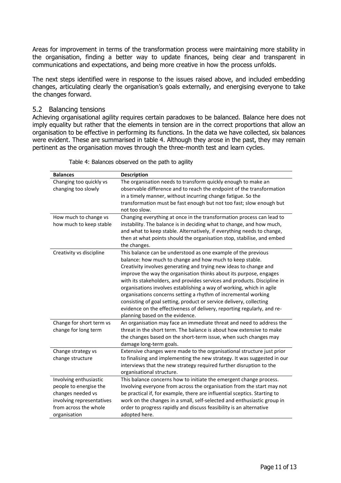Areas for improvement in terms of the transformation process were maintaining more stability in the organisation, finding a better way to update finances, being clear and transparent in communications and expectations, and being more creative in how the process unfolds.

The next steps identified were in response to the issues raised above, and included embedding changes, articulating clearly the organisation's goals externally, and energising everyone to take the changes forward.

### 5.2 Balancing tensions

Achieving organisational agility reguires certain paradoxes to be balanced. Balance here does not imply equality but rather that the elements in tension are in the correct proportions that allow an organisation to be effective in performing its functions. In the data we have collected, six balances were evident. These are summarised in table 4. Although they arose in the past, they may remain pertinent as the organisation moves through the three-month test and learn cycles.

| <b>Balances</b>           | <b>Description</b>                                                        |
|---------------------------|---------------------------------------------------------------------------|
| Changing too quickly vs   | The organisation needs to transform quickly enough to make an             |
| changing too slowly       | observable difference and to reach the endpoint of the transformation     |
|                           | in a timely manner, without incurring change fatigue. So the              |
|                           | transformation must be fast enough but not too fast; slow enough but      |
|                           | not too slow.                                                             |
| How much to change vs     | Changing everything at once in the transformation process can lead to     |
| how much to keep stable   | instability. The balance is in deciding what to change, and how much,     |
|                           | and what to keep stable. Alternatively, if everything needs to change,    |
|                           | then at what points should the organisation stop, stabilise, and embed    |
|                           | the changes.                                                              |
| Creativity vs discipline  | This balance can be understood as one example of the previous             |
|                           | balance: how much to change and how much to keep stable.                  |
|                           | Creativity involves generating and trying new ideas to change and         |
|                           | improve the way the organisation thinks about its purpose, engages        |
|                           | with its stakeholders, and provides services and products. Discipline in  |
|                           | organisations involves establishing a way of working, which in agile      |
|                           | organisations concerns setting a rhythm of incremental working            |
|                           | consisting of goal setting, product or service delivery, collecting       |
|                           | evidence on the effectiveness of delivery, reporting regularly, and re-   |
|                           | planning based on the evidence.                                           |
| Change for short term vs  | An organisation may face an immediate threat and need to address the      |
| change for long term      | threat in the short term. The balance is about how extensive to make      |
|                           | the changes based on the short-term issue, when such changes may          |
|                           | damage long-term goals.                                                   |
| Change strategy vs        | Extensive changes were made to the organisational structure just prior    |
| change structure          | to finalising and implementing the new strategy. It was suggested in our  |
|                           | interviews that the new strategy required further disruption to the       |
|                           | organisational structure.                                                 |
| Involving enthusiastic    | This balance concerns how to initiate the emergent change process.        |
| people to energise the    | Involving everyone from across the organisation from the start may not    |
| changes needed vs         | be practical if, for example, there are influential sceptics. Starting to |
| involving representatives | work on the changes in a small, self-selected and enthusiastic group in   |
| from across the whole     | order to progress rapidly and discuss feasibility is an alternative       |
| organisation              | adopted here.                                                             |

Table 4: Balances observed on the path to agility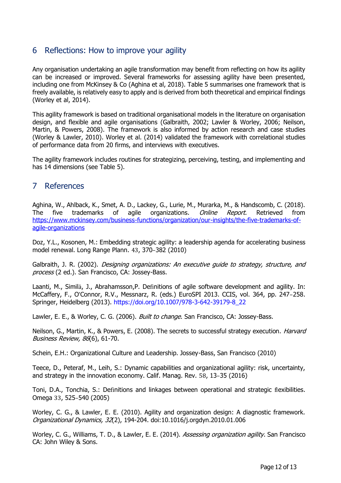## 6 Reflections: How to improve your agility

Any organisation undertaking an agile transformation may benefit from reflecting on how its agility can be increased or improved. Several frameworks for assessing agility have been presented, including one from McKinsey & Co (Aghina et al, 2018). Table 5 summarises one framework that is freely available, is relatively easy to apply and is derived from both theoretical and empirical findings (Worley et al, 2014).

This agility framework is based on traditional organisational models in the literature on organisation design, and flexible and agile organisations (Galbraith, 2002; Lawler & Worley, 2006; Neilson, Martin, & Powers, 2008). The framework is also informed by action research and case studies (Worley & Lawler, 2010). Worley et al. (2014) validated the framework with correlational studies of performance data from 20 firms, and interviews with executives.

The agility framework includes routines for strategizing, perceiving, testing, and implementing and has 14 dimensions (see Table 5).

## 7 References

Aghina, W., Ahlback, K., Smet, A. D., Lackey, G., Lurie, M., Murarka, M., & Handscomb, C. (2018). The five trademarks of agile organizations. *Online Report*. Retrieved from [https://www.mckinsey.com/business-functions/organization/our-insights/the-five-trademarks-of](https://www.mckinsey.com/business-functions/organization/our-insights/the-five-trademarks-of-agile-organizations)[agile-organizations](https://www.mckinsey.com/business-functions/organization/our-insights/the-five-trademarks-of-agile-organizations)

Doz, Y.L., Kosonen, M.: Embedding strategic agility: a leadership agenda for accelerating business model renewal. Long Range Plann. 43, 370–382 (2010)

Galbraith, J. R. (2002). *Designing organizations: An executive guide to strategy, structure, and* process (2 ed.). San Francisco, CA: Jossey-Bass.

Laanti, M., Similä, J., Abrahamsson,P. Definitions of agile software development and agility. In: McCaffery, F., O'Connor, R.V., Messnarz, R. (eds.) EuroSPI 2013. CCIS, vol. 364, pp. 247–258. Springer, Heidelberg (2013). https://doi.org/10.1007/978-3-642-39179-8\_22

Lawler, E. E., & Worley, C. G. (2006). *Built to change*. San Francisco, CA: Jossey-Bass.

Neilson, G., Martin, K., & Powers, E. (2008). The secrets to successful strategy execution. *Harvard* Business Review, 86(6), 61-70.

Schein, E.H.: Organizational Culture and Leadership. Jossey-Bass, San Francisco (2010)

Teece, D., Peteraf, M., Leih, S.: Dynamic capabilities and organizational agility: risk, uncertainty, and strategy in the innovation economy. Calif. Manag. Rev. 58, 13–35 (2016)

Toni, D.A., Tonchia, S.: Definitions and linkages between operational and strategic flexibilities. Omega 33, 525–540 (2005)

Worley, C. G., & Lawler, E. E. (2010). Agility and organization design: A diagnostic framework. Organizational Dynamics, 32(2), 194-204. doi:10.1016/j.orgdyn.2010.01.006

Worley, C. G., Williams, T. D., & Lawler, E. E. (2014). Assessing organization agility. San Francisco CA: John Wiley & Sons.